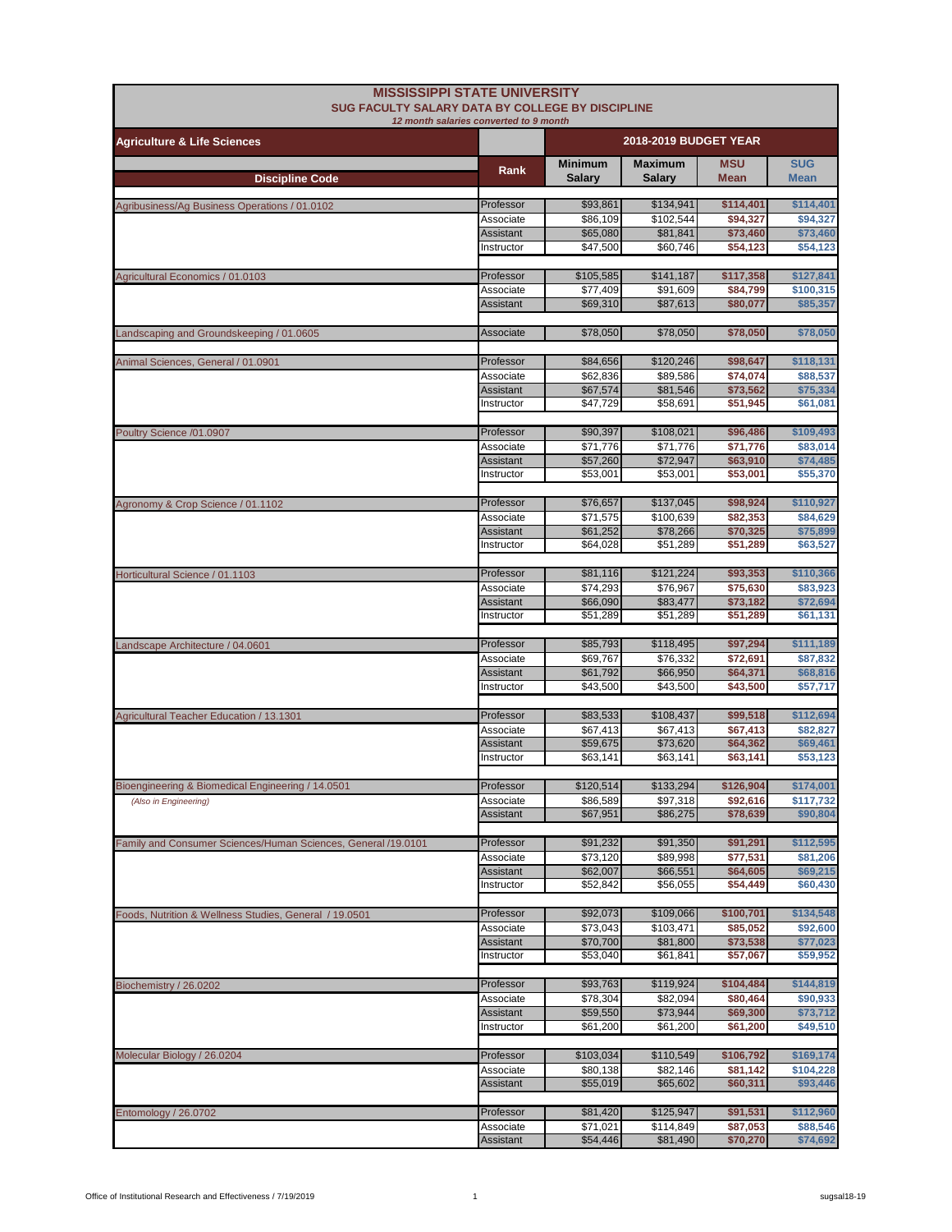| <b>MISSISSIPPI STATE UNIVERSITY</b><br>SUG FACULTY SALARY DATA BY COLLEGE BY DISCIPLINE | 12 month salaries converted to 9 month |                          |                          |                           |                           |
|-----------------------------------------------------------------------------------------|----------------------------------------|--------------------------|--------------------------|---------------------------|---------------------------|
| <b>Agriculture &amp; Life Sciences</b>                                                  |                                        | 2018-2019 BUDGET YEAR    |                          |                           |                           |
| <b>Discipline Code</b>                                                                  | Rank                                   | <b>Minimum</b><br>Salary | <b>Maximum</b><br>Salary | <b>MSU</b><br><b>Mean</b> | <b>SUG</b><br><b>Mean</b> |
| Agribusiness/Ag Business Operations / 01.0102                                           | Professor                              | \$93,861                 | \$134,941                | \$114,401                 | \$114,401                 |
|                                                                                         | Associate                              | \$86,109                 | \$102,544                | \$94,327                  | \$94,327                  |
|                                                                                         | Assistant<br>Instructor                | \$65,080<br>\$47,500     | \$81,841<br>\$60.746     | \$73,460<br>\$54,123      | \$73,460<br>\$54,123      |
|                                                                                         |                                        |                          |                          |                           |                           |
| Agricultural Economics / 01.0103                                                        | Professor                              | \$105,585                | \$141,187                | \$117,358                 | \$127,841                 |
|                                                                                         | Associate<br>Assistant                 | \$77,409<br>\$69,310     | \$91,609<br>\$87,613     | \$84,799<br>\$80,077      | \$100,315<br>\$85,357     |
| Landscaping and Groundskeeping / 01.0605                                                | Associate                              | \$78,050                 | \$78,050                 | \$78,050                  | \$78,050                  |
|                                                                                         |                                        |                          |                          |                           |                           |
| Animal Sciences, General / 01.0901                                                      | Professor<br>Associate                 | \$84,656<br>\$62,836     | \$120,246<br>\$89,586    | \$98,647<br>\$74,074      | \$118,131<br>\$88,537     |
|                                                                                         | Assistant                              | \$67,574                 | \$81,546                 | \$73,562                  | \$75,334                  |
|                                                                                         | Instructor                             | \$47,729                 | \$58,691                 | \$51,945                  | \$61,081                  |
| Poultry Science /01.0907                                                                | Professor                              | \$90,397                 | \$108,021                | \$96,486                  | \$109,493                 |
|                                                                                         | Associate                              | \$71,776                 | \$71,776                 | \$71,776                  | \$83,014                  |
|                                                                                         | <b>Assistant</b>                       | \$57,260                 | \$72,947                 | \$63,910                  | \$74,485                  |
|                                                                                         | Instructor                             | \$53,001                 | \$53,001                 | \$53,001                  | \$55,370                  |
| Agronomy & Crop Science / 01.1102                                                       | Professor                              | \$76,657                 | \$137,045                | \$98,924                  | \$110,927                 |
|                                                                                         | Associate                              | \$71,575                 | \$100,639                | \$82,353                  | \$84,629                  |
|                                                                                         | Assistant                              | \$61,252                 | \$78,266                 | \$70,325                  | \$75,899                  |
|                                                                                         | Instructor                             | \$64,028                 | \$51,289                 | \$51,289                  | \$63,527                  |
| Horticultural Science / 01.1103                                                         | Professor                              | \$81,116                 | \$121,224                | \$93,353                  | \$110,366                 |
|                                                                                         | Associate                              | \$74,293                 | \$76,967                 | \$75,630                  | \$83,923                  |
|                                                                                         | Assistant<br>Instructor                | \$66,090<br>\$51,289     | \$83,477<br>\$51,289     | \$73,182<br>\$51,289      | \$72,694<br>\$61,131      |
|                                                                                         | Professor                              |                          |                          |                           |                           |
| Landscape Architecture / 04.0601                                                        | Associate                              | \$85,793<br>\$69,767     | \$118,495<br>\$76,332    | \$97,294<br>\$72,691      | \$111,189<br>\$87,832     |
|                                                                                         | Assistant                              | \$61,792                 | \$66,950                 | \$64,371                  | \$68,816                  |
|                                                                                         | Instructor                             | \$43,500                 | \$43,500                 | \$43,500                  | \$57,717                  |
| Agricultural Teacher Education / 13.1301                                                | Professor                              | \$83,533                 | \$108,437                | \$99,518                  | \$112,694                 |
|                                                                                         | Associate                              | \$67,413                 | \$67,413                 | \$67,413                  | \$82,827                  |
|                                                                                         | Assistant<br>Instructor                | \$59,675<br>\$63,141     | \$73,620<br>\$63,141     | \$64,362<br>\$63,141      | \$69,461<br>\$53,123      |
|                                                                                         |                                        |                          |                          |                           |                           |
| Bioengineering & Biomedical Engineering / 14.0501                                       | Professor                              | \$120,514                | \$133,294                | \$126,904                 | \$174,001                 |
| (Also in Engineering)                                                                   | Associate<br>Assistant                 | \$86,589<br>\$67,951     | \$97,318<br>\$86,275     | \$92,616<br>\$78,639      | \$117,732<br>\$90,804     |
|                                                                                         |                                        |                          |                          |                           |                           |
| Family and Consumer Sciences/Human Sciences, General /19.0101                           | Professor                              | \$91,232                 | \$91,350                 | \$91,291                  | \$112,595                 |
|                                                                                         | Associate                              | \$73,120                 | \$89,998                 | \$77,531                  | \$81,206                  |
|                                                                                         | Assistant<br>Instructor                | \$62,007<br>\$52,842     | \$66,551<br>\$56,055     | \$64,605<br>\$54,449      | \$69,215<br>\$60,430      |
|                                                                                         |                                        |                          |                          |                           |                           |
| Foods, Nutrition & Wellness Studies, General / 19.0501                                  | Professor                              | \$92,073                 | \$109,066                | \$100,701                 | \$134,548                 |
|                                                                                         | Associate<br><b>Assistant</b>          | \$73,043<br>\$70,700     | \$103,471<br>\$81,800    | \$85,052<br>\$73,538      | \$92,600<br>\$77,023      |
|                                                                                         | Instructor                             | \$53,040                 | \$61,841                 | \$57,067                  | \$59,952                  |
| Biochemistry / 26.0202                                                                  | Professor                              | \$93,763                 | \$119,924                | \$104,484                 | \$144,819                 |
|                                                                                         | Associate                              | \$78,304                 | \$82,094                 | \$80,464                  | \$90,933                  |
|                                                                                         | Assistant                              | \$59,550                 | \$73,944                 | \$69,300                  | \$73,712                  |
|                                                                                         | Instructor                             | \$61,200                 | \$61,200                 | \$61,200                  | \$49,510                  |
| Molecular Biology / 26.0204                                                             | Professor                              | \$103,034                | \$110,549                | \$106,792                 | \$169,174                 |
|                                                                                         | Associate                              | \$80,138                 | \$82,146                 | \$81,142                  | \$104,228                 |
|                                                                                         | Assistant                              | \$55,019                 | \$65,602                 | \$60,311                  | \$93,446                  |
| Entomology / 26.0702                                                                    | Professor                              | \$81,420                 | \$125,947                | \$91,531                  | \$112,960                 |
|                                                                                         | Associate                              | \$71,021                 | \$114,849                | \$87,053                  | \$88,546                  |
|                                                                                         | Assistant                              | \$54,446                 | \$81,490                 | \$70,270                  | \$74,692                  |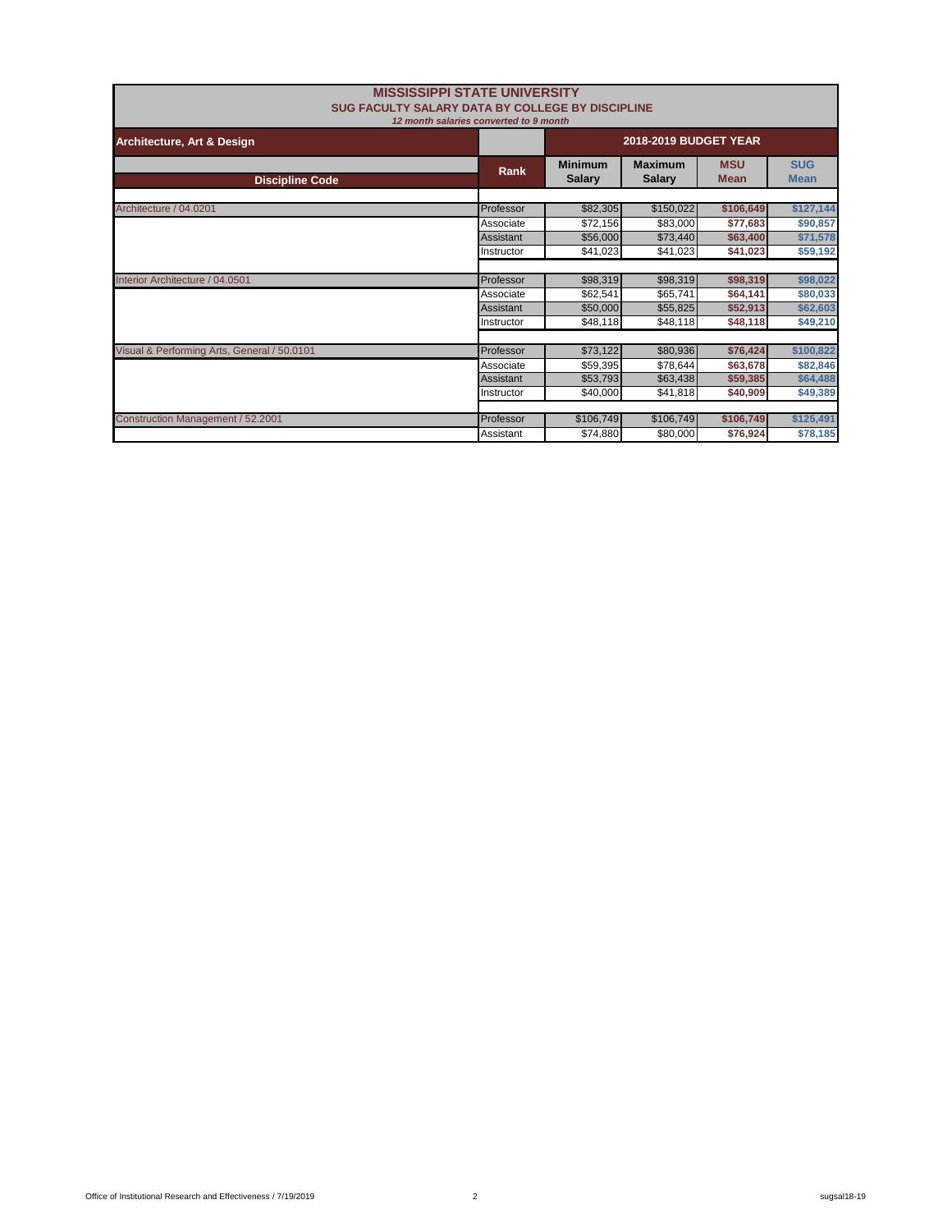| <b>MISSISSIPPI STATE UNIVERSITY</b><br>SUG FACULTY SALARY DATA BY COLLEGE BY DISCIPLINE | 12 month salaries converted to 9 month |                                 |                           |                           |           |
|-----------------------------------------------------------------------------------------|----------------------------------------|---------------------------------|---------------------------|---------------------------|-----------|
| Architecture, Art & Design                                                              |                                        | <b>2018-2019 BUDGET YEAR</b>    |                           |                           |           |
| <b>Discipline Code</b>                                                                  | Rank                                   | <b>Minimum</b><br><b>Salary</b> | <b>MSU</b><br><b>Mean</b> | <b>SUG</b><br><b>Mean</b> |           |
| Architecture / 04.0201                                                                  | Professor                              | \$82,305                        | \$150,022                 | \$106,649                 | \$127,144 |
|                                                                                         | Associate                              | \$72,156                        | \$83,000                  | \$77,683                  | \$90,857  |
|                                                                                         | <b>Assistant</b>                       | \$56,000                        | \$73,440                  | \$63,400                  | \$71,578  |
|                                                                                         | Instructor                             | \$41,023                        | \$41,023                  | \$41,023                  | \$59,192  |
|                                                                                         |                                        |                                 |                           |                           |           |
| Interior Architecture / 04.0501                                                         | Professor                              | \$98,319                        | \$98,319                  | \$98,319                  | \$98,022  |
|                                                                                         | Associate                              | \$62,541                        | \$65,741                  | \$64,141                  | \$80,033  |
|                                                                                         | Assistant                              | \$50,000                        | \$55,825                  | \$52,913                  | \$62,603  |
|                                                                                         | Instructor                             | \$48,118                        | \$48,118                  | \$48,118                  | \$49,210  |
|                                                                                         |                                        |                                 |                           |                           |           |
| Visual & Performing Arts, General / 50.0101                                             | Professor                              | \$73,122                        | \$80,936                  | \$76,424                  | \$100,822 |
|                                                                                         | Associate                              | \$59,395                        | \$78,644                  | \$63,678                  | \$82,846  |
|                                                                                         | <b>Assistant</b>                       | \$53,793                        | \$63,438                  | \$59,385                  | \$64,488  |
|                                                                                         | Instructor                             | \$40,000                        | \$41,818                  | \$40,909                  | \$49,389  |
| Construction Management / 52.2001                                                       | Professor                              | \$106,749                       | \$106,749                 | \$106,749                 | \$125,491 |
|                                                                                         | Assistant                              | \$74,880                        | \$80,000                  | \$76,924                  | \$78,185  |
|                                                                                         |                                        |                                 |                           |                           |           |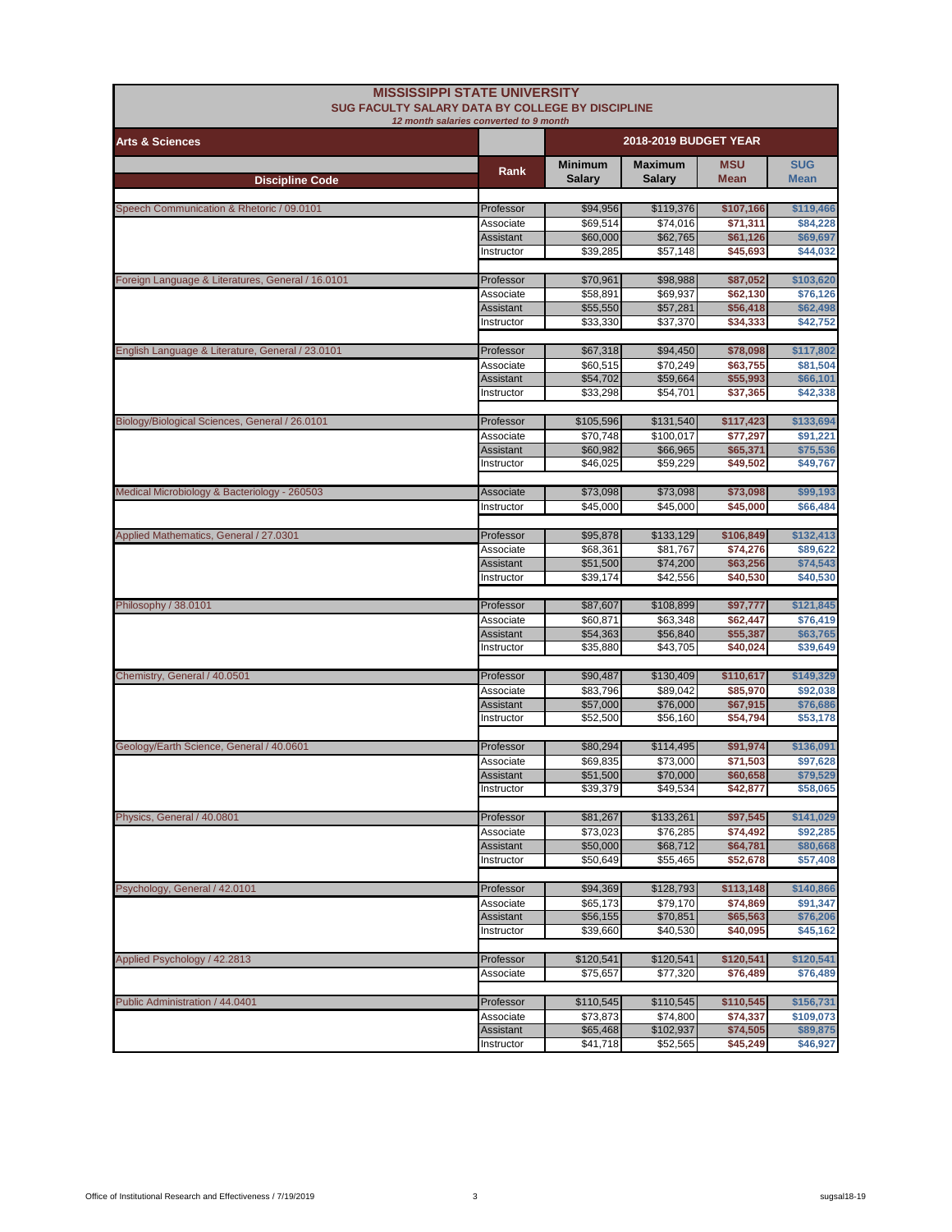|                                                   | <b>MISSISSIPPI STATE UNIVERSITY</b><br><b>SUG FACULTY SALARY DATA BY COLLEGE BY DISCIPLINE</b><br>12 month salaries converted to 9 month |                      |                       |                       |                       |
|---------------------------------------------------|------------------------------------------------------------------------------------------------------------------------------------------|----------------------|-----------------------|-----------------------|-----------------------|
| <b>Arts &amp; Sciences</b>                        |                                                                                                                                          |                      | 2018-2019 BUDGET YEAR |                       |                       |
|                                                   | Rank                                                                                                                                     | <b>Minimum</b>       | <b>Maximum</b>        | <b>MSU</b>            | <b>SUG</b>            |
| <b>Discipline Code</b>                            |                                                                                                                                          | Salary               | <b>Salarv</b>         | <b>Mean</b>           | <b>Mean</b>           |
|                                                   |                                                                                                                                          |                      |                       |                       |                       |
| Speech Communication & Rhetoric / 09.0101         | Professor<br>Associate                                                                                                                   | \$94,956<br>\$69,514 | \$119,376<br>\$74,016 | \$107,166<br>\$71,311 | \$119,466<br>\$84,228 |
|                                                   | Assistant                                                                                                                                | \$60,000             | \$62,765              | \$61,126              | \$69,697              |
|                                                   | Instructor                                                                                                                               | \$39,285             | \$57,148              | \$45,693              | \$44,032              |
|                                                   |                                                                                                                                          |                      |                       |                       |                       |
| Foreign Language & Literatures, General / 16.0101 | Professor                                                                                                                                | \$70,961             | \$98,988              | \$87,052              | \$103,620             |
|                                                   | Associate<br>Assistant                                                                                                                   | \$58,891<br>\$55,550 | \$69.937<br>\$57,281  | \$62,130<br>\$56,418  | \$76,126<br>\$62,498  |
|                                                   | Instructor                                                                                                                               | \$33,330             | \$37,370              | \$34,333              | \$42,752              |
|                                                   |                                                                                                                                          |                      |                       |                       |                       |
| English Language & Literature, General / 23.0101  | Professor                                                                                                                                | \$67,318             | \$94,450              | \$78,098              | \$117,802             |
|                                                   | Associate                                                                                                                                | \$60,515             | \$70,249              | \$63,755              | \$81,504              |
|                                                   | Assistant<br>Instructor                                                                                                                  | \$54,702<br>\$33,298 | \$59,664<br>\$54,701  | \$55,993<br>\$37,365  | \$66,101<br>\$42,338  |
|                                                   |                                                                                                                                          |                      |                       |                       |                       |
| Biology/Biological Sciences, General / 26.0101    | Professor                                                                                                                                | \$105,596            | \$131,540             | \$117,423             | \$133,694             |
|                                                   | Associate                                                                                                                                | \$70,748             | \$100,017             | \$77.297              | \$91,221              |
|                                                   | <b>Assistant</b>                                                                                                                         | \$60,982             | \$66,965              | \$65,371              | \$75,536              |
|                                                   | Instructor                                                                                                                               | \$46,025             | \$59,229              | \$49,502              | \$49,767              |
| Medical Microbiology & Bacteriology - 260503      | Associate                                                                                                                                | \$73,098             | \$73,098              | \$73,098              | \$99,193              |
|                                                   | Instructor                                                                                                                               | \$45,000             | \$45,000              | \$45,000              | \$66,484              |
|                                                   |                                                                                                                                          |                      |                       |                       |                       |
| Applied Mathematics, General / 27.0301            | Professor                                                                                                                                | \$95,878             | \$133,129             | \$106,849             | \$132,413             |
|                                                   | Associate                                                                                                                                | \$68,361             | \$81,767              | \$74,276              | \$89,622              |
|                                                   | <b>Assistant</b>                                                                                                                         | \$51,500             | \$74,200              | \$63,256              | \$74,543              |
|                                                   | Instructor                                                                                                                               | \$39,174             | \$42,556              | \$40,530              | \$40,530              |
| Philosophy / 38.0101                              | Professor                                                                                                                                | \$87,607             | \$108,899             | \$97,777              | \$121,845             |
|                                                   | Associate                                                                                                                                | \$60,871             | \$63,348              | \$62,447              | \$76,419              |
|                                                   | <b>Assistant</b>                                                                                                                         | \$54,363             | \$56,840              | \$55,387              | \$63,765              |
|                                                   | Instructor                                                                                                                               | \$35,880             | \$43,705              | \$40,024              | \$39,649              |
| Chemistry, General / 40.0501                      | Professor                                                                                                                                | \$90,487             | \$130,409             | \$110,617             | \$149,329             |
|                                                   | Associate                                                                                                                                | \$83,796             | \$89,042              | \$85,970              | \$92,038              |
|                                                   | <b>Assistant</b>                                                                                                                         | \$57,000             | \$76,000              | \$67,915              | \$76,686              |
|                                                   | Instructor                                                                                                                               | \$52,500             | \$56,160              | \$54,794              | \$53,178              |
|                                                   |                                                                                                                                          |                      |                       |                       |                       |
| Geology/Earth Science, General / 40.0601          | Professor                                                                                                                                | \$80,294<br>\$69,835 | \$114,495<br>\$73.000 | \$91,974<br>\$71,503  | \$136,091             |
|                                                   | Associate<br>Assistant                                                                                                                   | \$51,500             | \$70,000              | \$60,658              | \$97,628<br>\$79,529  |
|                                                   | Instructor                                                                                                                               | \$39,379             | \$49,534              | \$42,877              | \$58,065              |
|                                                   |                                                                                                                                          |                      |                       |                       |                       |
| Physics, General / 40.0801                        | Professor                                                                                                                                | \$81,267             | \$133,261             | \$97,545              | \$141,029             |
|                                                   | Associate                                                                                                                                | \$73,023             | \$76,285              | \$74,492              | \$92,285              |
|                                                   | <b>Assistant</b><br>Instructor                                                                                                           | \$50,000<br>\$50,649 | \$68,712<br>\$55,465  | \$64,781<br>\$52,678  | \$80,668<br>\$57,408  |
|                                                   |                                                                                                                                          |                      |                       |                       |                       |
| Psychology, General / 42.0101                     | Professor                                                                                                                                | \$94,369             | \$128,793             | \$113,148             | \$140,866             |
|                                                   | Associate                                                                                                                                | \$65,173             | \$79,170              | \$74,869              | \$91,347              |
|                                                   | <b>Assistant</b>                                                                                                                         | \$56,155             | \$70,851              | \$65,563              | \$76,206              |
|                                                   | Instructor                                                                                                                               | \$39,660             | \$40,530              | \$40,095              | \$45,162              |
| Applied Psychology / 42.2813                      | Professor                                                                                                                                | \$120,541            | \$120,541             | \$120,541             | \$120,541             |
|                                                   | Associate                                                                                                                                | \$75,657             | \$77,320              | \$76,489              | \$76,489              |
|                                                   |                                                                                                                                          |                      |                       |                       |                       |
| Public Administration / 44.0401                   | Professor                                                                                                                                | \$110,545            | \$110,545             | \$110,545             | \$156,731             |
|                                                   | Associate                                                                                                                                | \$73,873             | \$74,800              | \$74,337              | \$109,073             |
|                                                   | Assistant<br>Instructor                                                                                                                  | \$65,468<br>\$41,718 | \$102,937<br>\$52,565 | \$74,505              | \$89,875<br>\$46,927  |
|                                                   |                                                                                                                                          |                      |                       | \$45,249              |                       |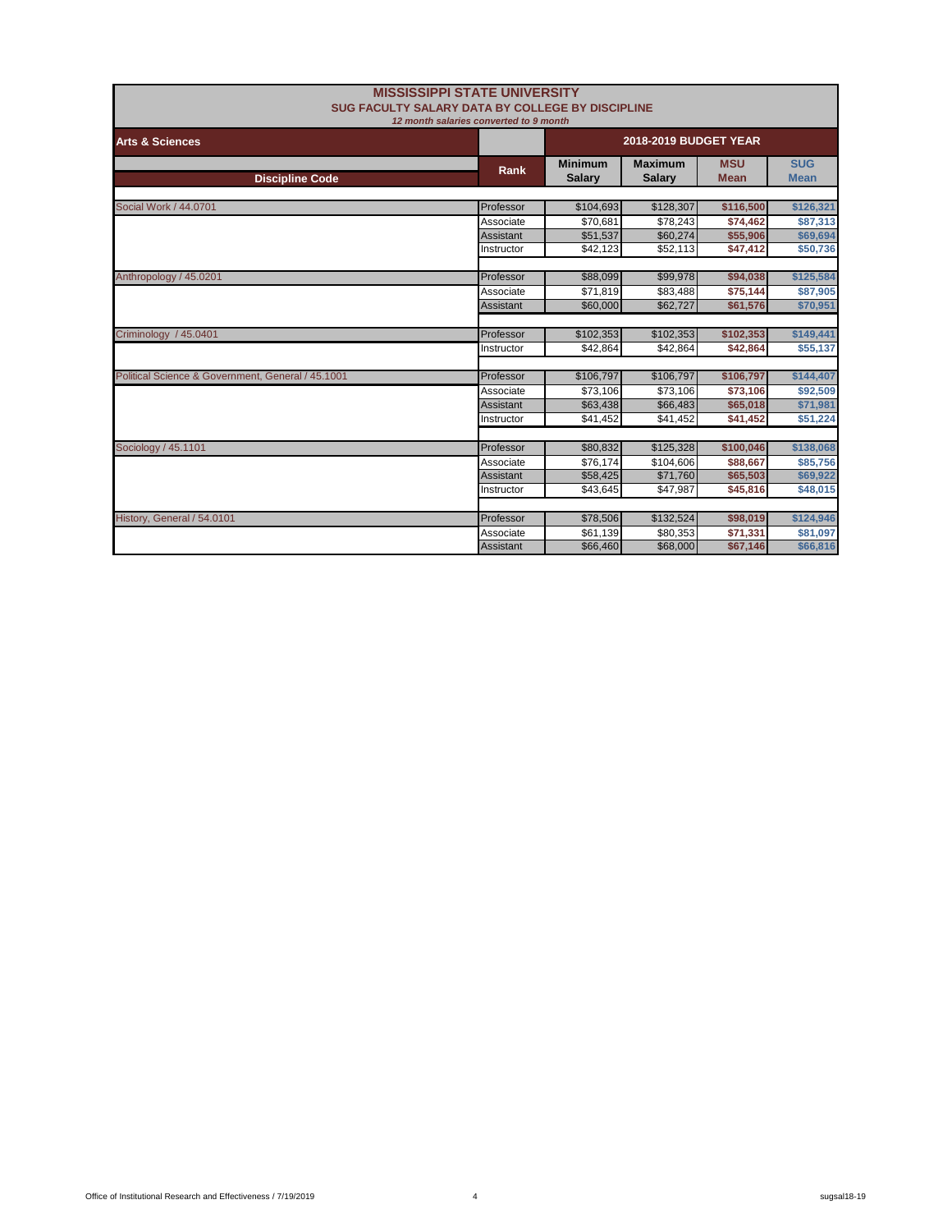|                                                   | <b>MISSISSIPPI STATE UNIVERSITY</b><br>SUG FACULTY SALARY DATA BY COLLEGE BY DISCIPLINE |                                 |                                 |                           |                           |
|---------------------------------------------------|-----------------------------------------------------------------------------------------|---------------------------------|---------------------------------|---------------------------|---------------------------|
|                                                   | 12 month salaries converted to 9 month                                                  |                                 |                                 |                           |                           |
| <b>Arts &amp; Sciences</b>                        |                                                                                         | <b>2018-2019 BUDGET YEAR</b>    |                                 |                           |                           |
| <b>Discipline Code</b>                            | Rank                                                                                    | <b>Minimum</b><br><b>Salary</b> | <b>Maximum</b><br><b>Salary</b> | <b>MSU</b><br><b>Mean</b> | <b>SUG</b><br><b>Mean</b> |
|                                                   |                                                                                         |                                 |                                 |                           |                           |
| Social Work / 44.0701                             | Professor                                                                               | \$104,693                       | \$128,307                       | \$116,500                 | \$126,321                 |
|                                                   | Associate                                                                               | \$70,681                        | \$78,243                        | \$74,462                  | \$87,313                  |
|                                                   | Assistant                                                                               | \$51,537                        | \$60,274                        | \$55,906                  | \$69,694                  |
|                                                   | Instructor                                                                              | \$42,123                        | \$52,113                        | \$47,412                  | \$50,736                  |
|                                                   |                                                                                         |                                 |                                 |                           |                           |
| Anthropology / 45.0201                            | Professor                                                                               | \$88,099                        | \$99,978                        | \$94,038                  | \$125,584                 |
|                                                   | Associate                                                                               | \$71,819                        | \$83,488                        | \$75,144                  | \$87,905                  |
|                                                   | Assistant                                                                               | \$60,000                        | \$62,727                        | \$61,576                  | \$70,951                  |
|                                                   |                                                                                         |                                 |                                 |                           |                           |
| Criminology / 45.0401                             | Professor                                                                               | \$102,353                       | \$102,353                       | \$102,353                 | \$149,441                 |
|                                                   | Instructor                                                                              | \$42,864                        | \$42,864                        | \$42,864                  | \$55,137                  |
|                                                   |                                                                                         |                                 |                                 |                           |                           |
| Political Science & Government, General / 45.1001 | Professor                                                                               | \$106,797                       | \$106,797                       | \$106,797                 | \$144,407                 |
|                                                   | Associate                                                                               | \$73,106                        | \$73,106                        | \$73,106                  | \$92,509                  |
|                                                   | <b>Assistant</b>                                                                        | \$63,438                        | \$66,483                        | \$65,018                  | \$71,981                  |
|                                                   | Instructor                                                                              | \$41,452                        | \$41,452                        | \$41,452                  | \$51,224                  |
| Sociology / 45.1101                               | Professor                                                                               | \$80,832                        | \$125,328                       | \$100,046                 | \$138,068                 |
|                                                   |                                                                                         |                                 |                                 |                           |                           |
|                                                   | Associate<br>Assistant                                                                  | \$76,174                        | \$104,606                       | \$88,667                  | \$85,756                  |
|                                                   | Instructor                                                                              | \$58,425<br>\$43,645            | \$71,760<br>\$47,987            | \$65,503<br>\$45,816      | \$69,922<br>\$48,015      |
|                                                   |                                                                                         |                                 |                                 |                           |                           |
| History, General / 54.0101                        | Professor                                                                               | \$78,506                        | \$132,524                       | \$98,019                  | \$124,946                 |
|                                                   | Associate                                                                               | \$61,139                        | \$80,353                        | \$71,331                  | \$81,097                  |
|                                                   | <b>Assistant</b>                                                                        | \$66,460                        | \$68,000                        | \$67,146                  | \$66,816                  |
|                                                   |                                                                                         |                                 |                                 |                           |                           |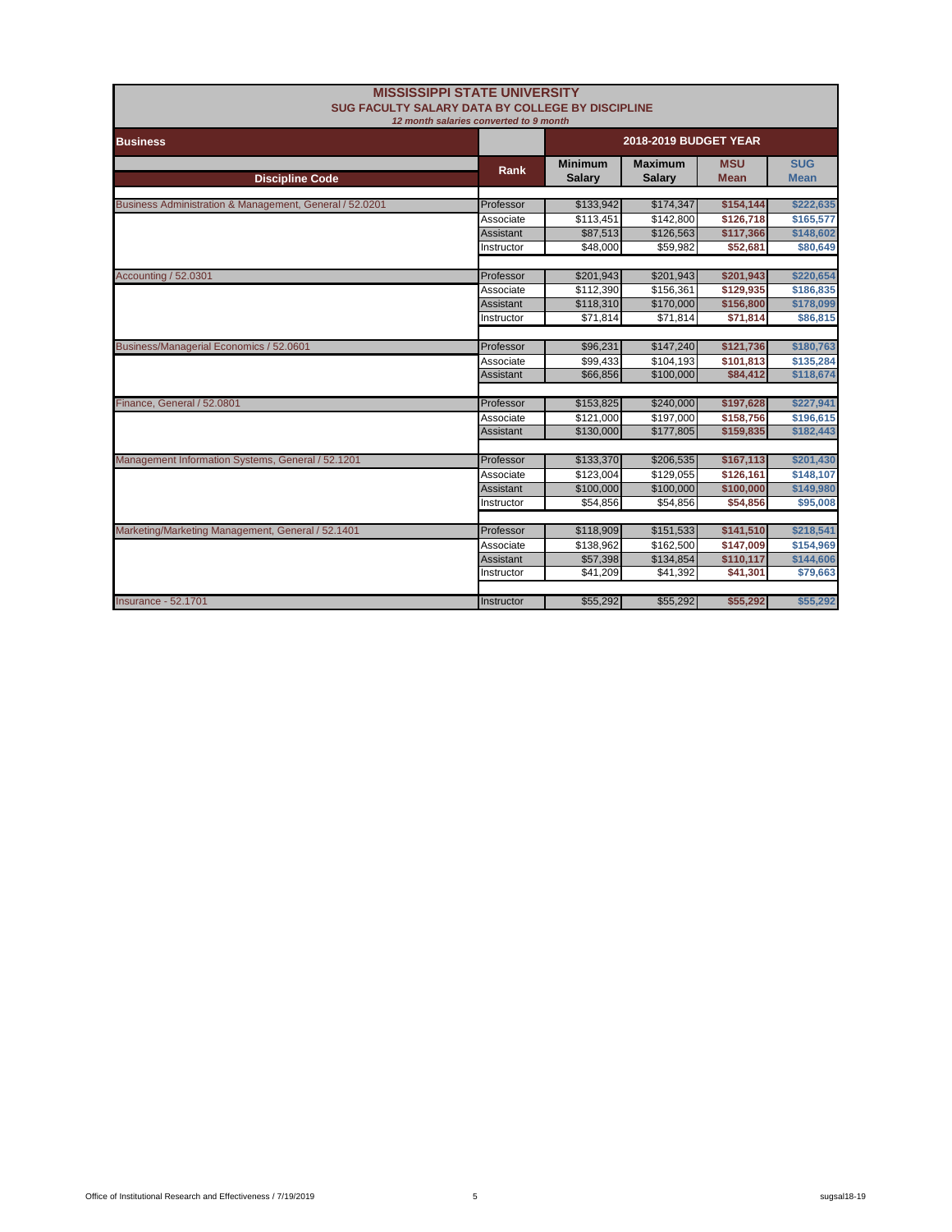| SUG FACULTY SALARY DATA BY COLLEGE BY DISCIPLINE        | <b>MISSISSIPPI STATE UNIVERSITY</b>    |                                 |                                 |                           |                           |
|---------------------------------------------------------|----------------------------------------|---------------------------------|---------------------------------|---------------------------|---------------------------|
|                                                         | 12 month salaries converted to 9 month |                                 |                                 |                           |                           |
| <b>Business</b>                                         |                                        |                                 | 2018-2019 BUDGET YEAR           |                           |                           |
| <b>Discipline Code</b>                                  | Rank                                   | <b>Minimum</b><br><b>Salary</b> | <b>Maximum</b><br><b>Salary</b> | <b>MSU</b><br><b>Mean</b> | <b>SUG</b><br><b>Mean</b> |
|                                                         |                                        |                                 |                                 |                           |                           |
| Business Administration & Management, General / 52.0201 | Professor                              | \$133,942                       | \$174,347                       | \$154,144                 | \$222,635                 |
|                                                         | Associate                              | \$113,451                       | \$142,800                       | \$126,718                 | \$165,577                 |
|                                                         | Assistant                              | \$87,513                        | \$126,563                       | \$117,366                 | \$148,602                 |
|                                                         | Instructor                             | \$48,000                        | \$59,982                        | \$52,681                  | \$80,649                  |
| Accounting / 52.0301                                    | Professor                              | \$201,943                       | \$201,943                       | \$201,943                 | \$220,654                 |
|                                                         | Associate                              | \$112,390                       | \$156,361                       | \$129,935                 | \$186,835                 |
|                                                         | <b>Assistant</b>                       | \$118,310                       | \$170,000                       | \$156,800                 | \$178,099                 |
|                                                         | Instructor                             | \$71,814                        | \$71,814                        | \$71,814                  | \$86,815                  |
|                                                         |                                        |                                 |                                 |                           |                           |
| Business/Managerial Economics / 52.0601                 | Professor                              | \$96,231                        | \$147,240                       | \$121,736                 | \$180,763                 |
|                                                         | Associate                              | \$99.433                        | \$104,193                       | \$101,813                 | \$135,284                 |
|                                                         | <b>Assistant</b>                       | \$66,856                        | \$100.000                       | \$84,412                  | \$118,674                 |
|                                                         |                                        |                                 |                                 |                           |                           |
| Finance, General / 52.0801                              | Professor                              | \$153,825                       | \$240,000                       | \$197,628                 | \$227,941                 |
|                                                         | Associate                              | \$121,000                       | \$197,000                       | \$158,756                 | \$196,615                 |
|                                                         | <b>Assistant</b>                       | \$130,000                       | \$177.805                       | \$159,835                 | \$182,443                 |
| Management Information Systems, General / 52.1201       | Professor                              | \$133,370                       | \$206,535                       | \$167,113                 | \$201,430                 |
|                                                         | Associate                              | \$123,004                       | \$129,055                       | \$126,161                 | \$148,107                 |
|                                                         | <b>Assistant</b>                       | \$100,000                       | \$100,000                       | \$100,000                 | \$149,980                 |
|                                                         | Instructor                             | \$54,856                        | \$54,856                        | \$54,856                  | \$95,008                  |
|                                                         |                                        |                                 |                                 |                           |                           |
| Marketing/Marketing Management, General / 52.1401       | Professor                              | \$118,909                       | \$151,533                       | \$141,510                 | \$218,541                 |
|                                                         | Associate                              | \$138,962                       | \$162,500                       | \$147,009                 | \$154,969                 |
|                                                         | <b>Assistant</b>                       | \$57,398                        | \$134,854                       | \$110,117                 | \$144,606                 |
|                                                         | Instructor                             | \$41,209                        | \$41,392                        | \$41,301                  | \$79,663                  |
| <b>Insurance - 52,1701</b>                              | <b>Instructor</b>                      | \$55,292                        | \$55,292                        | \$55,292                  | \$55,292                  |
|                                                         |                                        |                                 |                                 |                           |                           |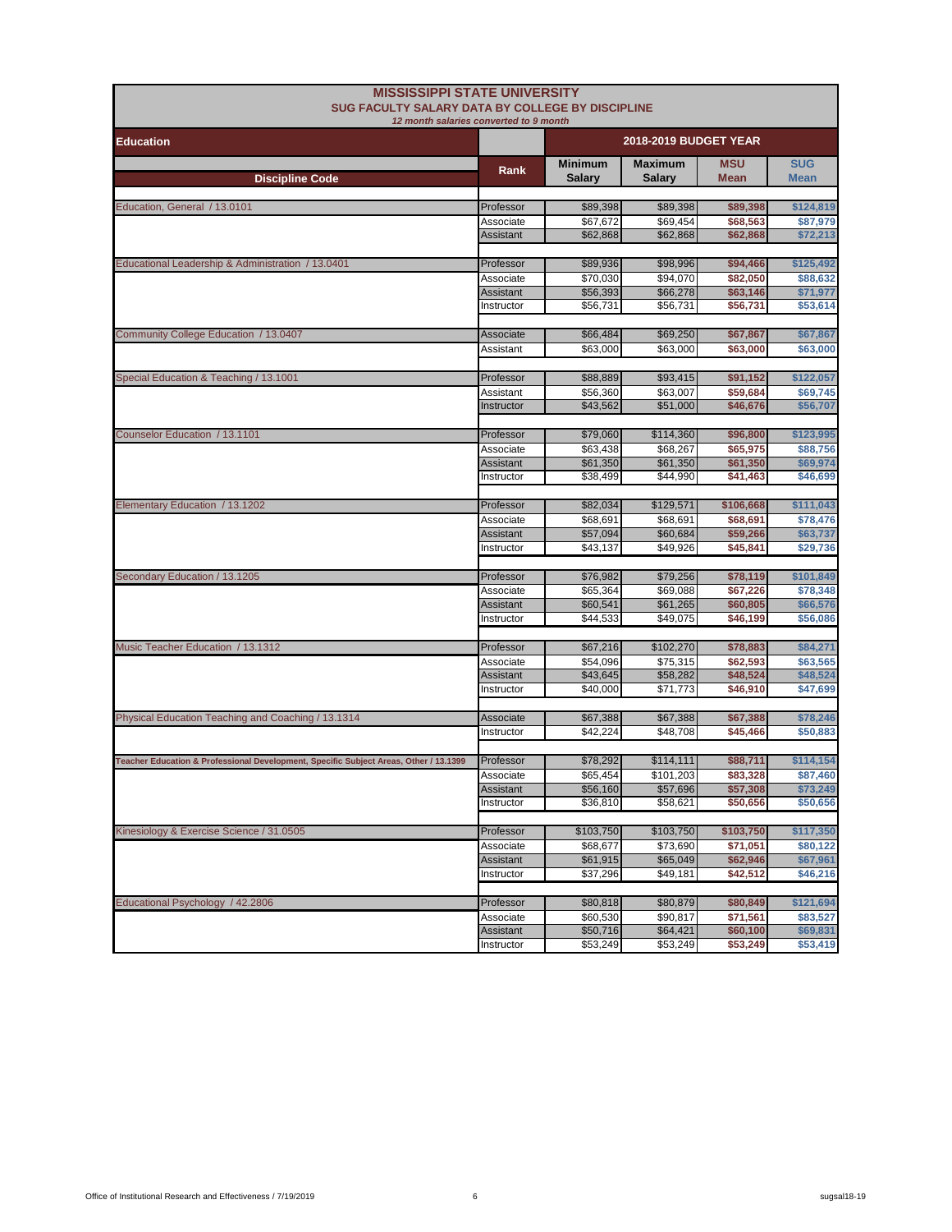| <b>MISSISSIPPI STATE UNIVERSITY</b><br><b>SUG FACULTY SALARY DATA BY COLLEGE BY DISCIPLINE</b><br>12 month salaries converted to 9 month |                         |                                 |                                 |                       |                           |
|------------------------------------------------------------------------------------------------------------------------------------------|-------------------------|---------------------------------|---------------------------------|-----------------------|---------------------------|
| <b>Education</b>                                                                                                                         |                         | 2018-2019 BUDGET YEAR           |                                 |                       |                           |
| <b>Discipline Code</b>                                                                                                                   | Rank                    | <b>Minimum</b><br><b>Salary</b> | <b>Maximum</b><br><b>Salary</b> | <b>MSU</b><br>Mean    | <b>SUG</b><br><b>Mean</b> |
|                                                                                                                                          |                         |                                 |                                 |                       |                           |
| Education, General / 13.0101                                                                                                             | Professor               | \$89,398                        | \$89,398                        | \$89,398              | \$124,819                 |
|                                                                                                                                          | Associate               | \$67,672                        | \$69,454                        | \$68,563              | \$87,979                  |
|                                                                                                                                          | Assistant               | \$62,868                        | \$62,868                        | \$62,868              | \$72,213                  |
| Educational Leadership & Administration / 13.0401                                                                                        | Professor               | \$89,936                        | \$98,996                        | \$94,466              | \$125,492                 |
|                                                                                                                                          | Associate               | \$70,030                        | \$94,070                        | \$82,050              | \$88,632                  |
|                                                                                                                                          | Assistant               | \$56,393                        | \$66,278                        | \$63,146              | \$71,977                  |
|                                                                                                                                          | Instructor              | \$56,731                        | \$56,731                        | \$56,731              | \$53,614                  |
|                                                                                                                                          |                         |                                 |                                 |                       |                           |
| Community College Education / 13.0407                                                                                                    | Associate               | \$66,484                        | \$69,250                        | \$67,867              | \$67,867                  |
|                                                                                                                                          | Assistant               | \$63,000                        | \$63,000                        | \$63,000              | \$63,000                  |
|                                                                                                                                          |                         |                                 |                                 |                       |                           |
| Special Education & Teaching / 13.1001                                                                                                   | Professor               | \$88,889                        | \$93,415<br>\$63,007            | \$91,152              | \$122,057                 |
|                                                                                                                                          | Assistant<br>Instructor | \$56,360<br>\$43,562            | \$51,000                        | \$59,684<br>\$46,676  | \$69,745<br>\$56,707      |
|                                                                                                                                          |                         |                                 |                                 |                       |                           |
| Counselor Education / 13.1101                                                                                                            | Professor               | \$79,060                        | \$114,360                       | \$96,800              | \$123,995                 |
|                                                                                                                                          | Associate               | \$63,438                        | \$68,267                        | \$65,975              | \$88,756                  |
|                                                                                                                                          | Assistant               | \$61,350                        | \$61,350                        | \$61,350              | \$69,974                  |
|                                                                                                                                          | Instructor              | \$38,499                        | \$44,990                        | \$41,463              | \$46,699                  |
|                                                                                                                                          |                         |                                 |                                 |                       |                           |
| Elementary Education / 13.1202                                                                                                           | Professor               | \$82,034                        | \$129,571                       | \$106,668             | \$111,043                 |
|                                                                                                                                          | Associate               | \$68,691                        | \$68,691                        | \$68,691              | \$78,476                  |
|                                                                                                                                          | Assistant<br>Instructor | \$57,094<br>\$43,137            | \$60,684<br>\$49,926            | \$59,266<br>\$45,841  | \$63,737<br>\$29,736      |
|                                                                                                                                          |                         |                                 |                                 |                       |                           |
| Secondary Education / 13.1205                                                                                                            | Professor               | \$76,982                        | \$79,256                        | \$78,119              | \$101,849                 |
|                                                                                                                                          | Associate               | \$65,364                        | \$69,088                        | \$67,226              | \$78,348                  |
|                                                                                                                                          | Assistant               | \$60,541                        | \$61,265                        | \$60,805              | \$66,576                  |
|                                                                                                                                          | Instructor              | \$44,533                        | \$49,075                        | \$46,199              | \$56,086                  |
|                                                                                                                                          |                         |                                 |                                 |                       |                           |
| Music Teacher Education / 13.1312                                                                                                        | Professor               | \$67,216                        | \$102,270                       | \$78,883              | \$84,271                  |
|                                                                                                                                          | Associate               | \$54,096                        | \$75,315                        | \$62,593              | \$63,565                  |
|                                                                                                                                          | Assistant<br>Instructor | \$43,645<br>\$40,000            | \$58,282<br>\$71,773            | \$48,524<br>\$46,910  | \$48,524<br>\$47,699      |
|                                                                                                                                          |                         |                                 |                                 |                       |                           |
| Physical Education Teaching and Coaching / 13.1314                                                                                       | Associate               | \$67,388                        | \$67,388                        | \$67,388              | \$78,246                  |
|                                                                                                                                          | Instructor              | \$42,224                        | \$48,708                        | \$45,466              | \$50,883                  |
|                                                                                                                                          |                         |                                 |                                 |                       |                           |
| Teacher Education & Professional Development, Specific Subject Areas, Other / 13.1399                                                    | Professor               | \$78,292                        | \$114,111                       | \$88,711              | \$114,154                 |
|                                                                                                                                          | Associate               | \$65,454                        | \$101,203                       | \$83,328              | \$87,460                  |
|                                                                                                                                          | <b>Assistant</b>        | \$56,160                        | \$57,696                        | \$57,308              | \$73,249                  |
|                                                                                                                                          | Instructor              | \$36,810                        | \$58,621                        | \$50,656              | \$50,656                  |
|                                                                                                                                          |                         |                                 |                                 |                       |                           |
| Kinesiology & Exercise Science / 31.0505                                                                                                 | Professor<br>Associate  | \$103,750<br>\$68,677           | \$103,750<br>\$73,690           | \$103,750<br>\$71,051 | \$117,350<br>\$80,122     |
|                                                                                                                                          | Assistant               | \$61,915                        | \$65,049                        | \$62,946              | \$67,961                  |
|                                                                                                                                          | Instructor              | \$37,296                        | \$49,181                        | \$42,512              | \$46,216                  |
|                                                                                                                                          |                         |                                 |                                 |                       |                           |
| Educational Psychology / 42.2806                                                                                                         | Professor               | \$80,818                        | \$80,879                        | \$80,849              | \$121,694                 |
|                                                                                                                                          | Associate               | \$60,530                        | \$90,817                        | \$71,561              | \$83,527                  |
|                                                                                                                                          | Assistant               | \$50,716                        | \$64,421                        | \$60,100              | \$69,831                  |
|                                                                                                                                          | Instructor              | \$53,249                        | \$53,249                        | \$53,249              | \$53,419                  |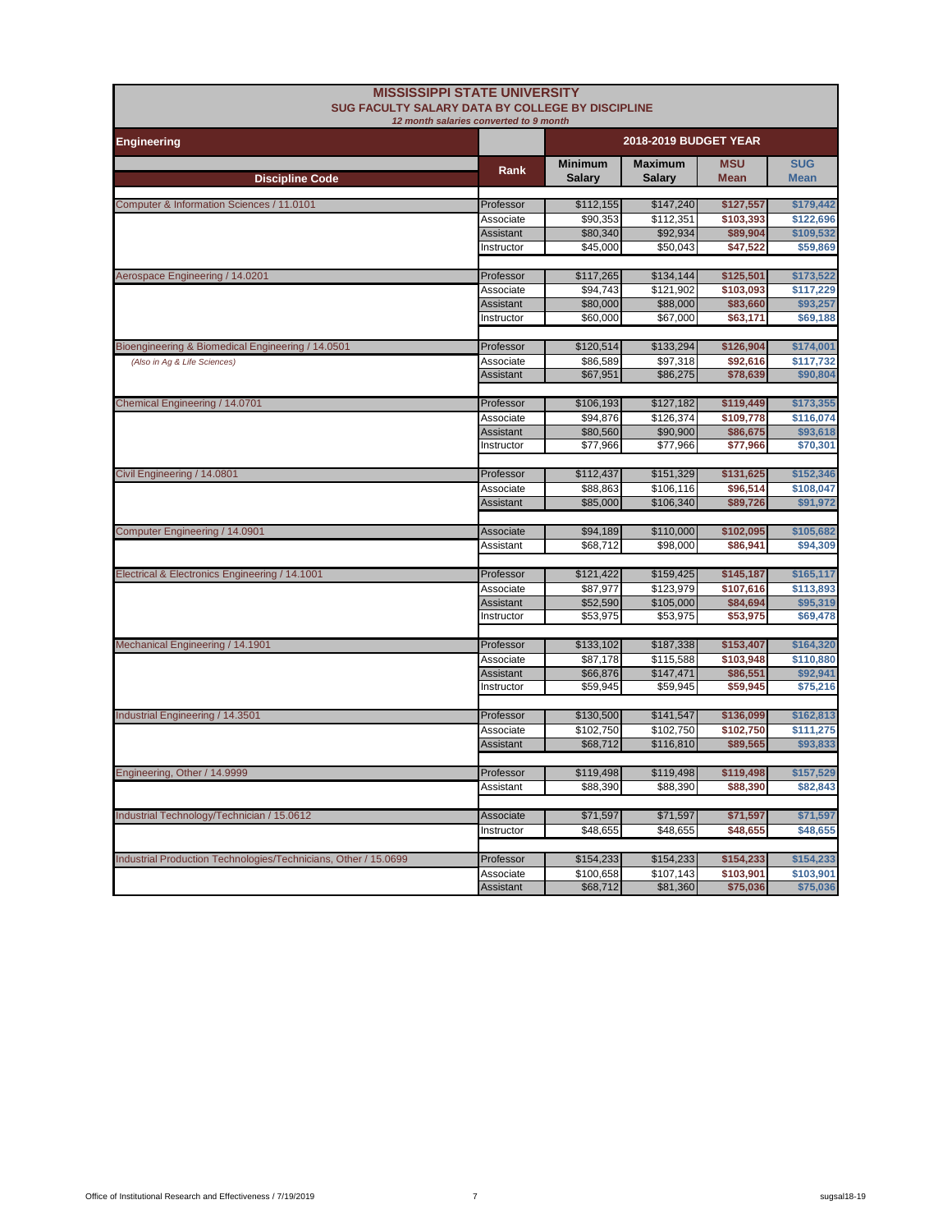|                                                                 | <b>MISSISSIPPI STATE UNIVERSITY</b><br>SUG FACULTY SALARY DATA BY COLLEGE BY DISCIPLINE |                                 |                                 |                           |                           |
|-----------------------------------------------------------------|-----------------------------------------------------------------------------------------|---------------------------------|---------------------------------|---------------------------|---------------------------|
|                                                                 | 12 month salaries converted to 9 month                                                  |                                 |                                 |                           |                           |
| <b>Engineering</b>                                              |                                                                                         | 2018-2019 BUDGET YEAR           |                                 |                           |                           |
| <b>Discipline Code</b>                                          | Rank                                                                                    | <b>Minimum</b><br><b>Salary</b> | <b>Maximum</b><br><b>Salary</b> | <b>MSU</b><br><b>Mean</b> | <b>SUG</b><br><b>Mean</b> |
|                                                                 |                                                                                         |                                 |                                 |                           |                           |
| Computer & Information Sciences / 11.0101                       | Professor                                                                               | \$112,155                       | \$147,240                       | \$127,557                 | \$179,442                 |
|                                                                 | Associate<br><b>Assistant</b>                                                           | \$90,353<br>\$80,340            | \$112,351<br>\$92,934           | \$103,393<br>\$89,904     | \$122,696<br>\$109,532    |
|                                                                 | Instructor                                                                              | \$45,000                        | \$50,043                        | \$47,522                  | \$59,869                  |
| Aerospace Engineering / 14.0201                                 | Professor                                                                               | \$117,265                       | \$134,144                       | \$125,501                 | \$173,522                 |
|                                                                 | Associate                                                                               | \$94,743                        | \$121,902                       | \$103,093                 | \$117,229                 |
|                                                                 | Assistant                                                                               | \$80,000                        | \$88,000                        | \$83,660                  | \$93,257                  |
|                                                                 | Instructor                                                                              | \$60,000                        | \$67,000                        | \$63,171                  | \$69,188                  |
| Bioengineering & Biomedical Engineering / 14.0501               | Professor                                                                               | \$120,514                       | \$133,294                       | \$126,904                 | \$174,001                 |
| (Also in Aq & Life Sciences)                                    | Associate                                                                               | \$86,589                        | \$97,318                        | \$92,616                  | \$117,732                 |
|                                                                 | Assistant                                                                               | \$67,951                        | \$86,275                        | \$78,639                  | \$90,804                  |
| Chemical Engineering / 14.0701                                  | Professor                                                                               | \$106,193                       | \$127,182                       | \$119,449                 | \$173,355                 |
|                                                                 | Associate                                                                               | \$94,876                        | \$126,374                       | \$109,778                 | \$116,074                 |
|                                                                 | <b>Assistant</b>                                                                        | \$80,560                        | \$90,900                        | \$86,675                  | \$93,618                  |
|                                                                 | Instructor                                                                              | \$77,966                        | \$77,966                        | \$77,966                  | \$70,301                  |
| Civil Engineering / 14.0801                                     | Professor                                                                               | \$112,437                       | \$151,329                       | \$131,625                 | \$152,346                 |
|                                                                 | Associate                                                                               | \$88.863                        | \$106.116                       | \$96.514                  | \$108.047                 |
|                                                                 | Assistant                                                                               | \$85,000                        | \$106,340                       | \$89,726                  | \$91,972                  |
|                                                                 |                                                                                         |                                 |                                 |                           |                           |
| Computer Engineering / 14.0901                                  | Associate                                                                               | \$94,189<br>\$68,712            | \$110,000<br>\$98,000           | \$102,095<br>\$86,941     | \$105,682<br>\$94,309     |
|                                                                 | Assistant                                                                               |                                 |                                 |                           |                           |
| Electrical & Electronics Engineering / 14.1001                  | Professor                                                                               | \$121,422                       | \$159,425                       | \$145,187                 | \$165,117                 |
|                                                                 | Associate                                                                               | \$87.977                        | \$123,979                       | \$107,616                 | \$113,893                 |
|                                                                 | Assistant                                                                               | \$52,590                        | \$105,000                       | \$84,694                  | \$95,319                  |
|                                                                 | Instructor                                                                              | \$53,975                        | \$53,975                        | \$53,975                  | \$69,478                  |
| Mechanical Engineering / 14.1901                                | Professor                                                                               | \$133,102                       | \$187,338                       | \$153,407                 | \$164,320                 |
|                                                                 | Associate                                                                               | \$87,178                        | \$115,588                       | \$103,948                 | \$110,880                 |
|                                                                 | <b>Assistant</b>                                                                        | \$66,876                        | \$147,471                       | \$86,551                  | \$92,941                  |
|                                                                 | Instructor                                                                              | \$59,945                        | \$59,945                        | \$59,945                  | \$75,216                  |
| Industrial Engineering / 14.3501                                | Professor                                                                               | \$130,500                       | \$141,547                       | \$136,099                 | \$162,813                 |
|                                                                 | Associate                                                                               | \$102,750                       | \$102,750                       | \$102,750                 | \$111,275                 |
|                                                                 | <b>Assistant</b>                                                                        | \$68,712                        | \$116,810                       | \$89,565                  | \$93,833                  |
| Engineering, Other / 14.9999                                    | Professor                                                                               | \$119,498                       | \$119,498                       | \$119,498                 | \$157,529                 |
|                                                                 | Assistant                                                                               | \$88,390                        | \$88,390                        | \$88,390                  | \$82,843                  |
|                                                                 |                                                                                         |                                 |                                 |                           |                           |
| Industrial Technology/Technician / 15.0612                      | Associate                                                                               | \$71,597                        | \$71,597                        | \$71,597                  | \$71,597                  |
|                                                                 | Instructor                                                                              | \$48,655                        | \$48,655                        | \$48,655                  | \$48,655                  |
| Industrial Production Technologies/Technicians, Other / 15.0699 | Professor                                                                               | \$154,233                       | \$154,233                       | \$154,233                 | \$154,233                 |
|                                                                 | Associate                                                                               | \$100,658                       | \$107,143                       | \$103,901                 | \$103,901                 |
|                                                                 | Assistant                                                                               | \$68,712                        | \$81,360                        | \$75,036                  | \$75,036                  |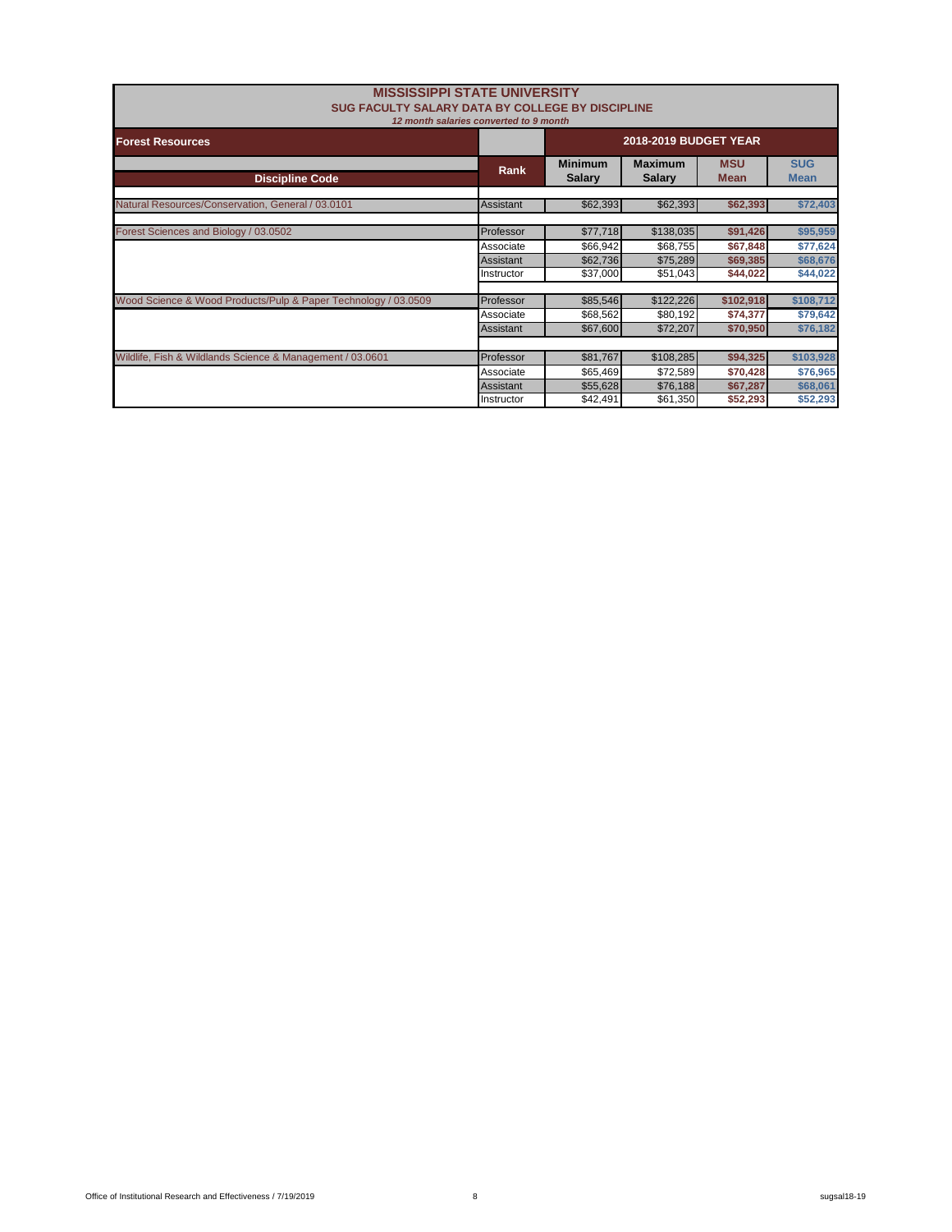| <b>MISSISSIPPI STATE UNIVERSITY</b><br>SUG FACULTY SALARY DATA BY COLLEGE BY DISCIPLINE | 12 month salaries converted to 9 month |                                 |                                 |                           |                           |
|-----------------------------------------------------------------------------------------|----------------------------------------|---------------------------------|---------------------------------|---------------------------|---------------------------|
| <b>Forest Resources</b>                                                                 | <b>2018-2019 BUDGET YEAR</b>           |                                 |                                 |                           |                           |
| <b>Discipline Code</b>                                                                  | Rank                                   | <b>Minimum</b><br><b>Salary</b> | <b>Maximum</b><br><b>Salary</b> | <b>MSU</b><br><b>Mean</b> | <b>SUG</b><br><b>Mean</b> |
| Natural Resources/Conservation, General / 03.0101                                       | Assistant                              | \$62,393                        | \$62,393                        | \$62,393                  | \$72,403                  |
| Forest Sciences and Biology / 03.0502                                                   | Professor                              | \$77,718                        | \$138,035                       | \$91,426                  | \$95,959                  |
|                                                                                         | Associate<br><b>Assistant</b>          | \$66,942<br>\$62,736            | \$68,755<br>\$75,289            | \$67,848<br>\$69,385      | \$77,624<br>\$68,676      |
|                                                                                         | Instructor                             | \$37,000                        | \$51,043                        | \$44,022                  | \$44,022                  |
| Wood Science & Wood Products/Pulp & Paper Technology / 03.0509                          | Professor                              | \$85,546                        | \$122,226                       | \$102,918                 | \$108,712                 |
|                                                                                         | Associate                              | \$68,562                        | \$80,192                        | \$74,377                  | \$79,642                  |
|                                                                                         | Assistant                              | \$67,600                        | \$72,207                        | \$70,950                  | \$76,182                  |
|                                                                                         |                                        |                                 |                                 |                           |                           |
| Wildlife, Fish & Wildlands Science & Management / 03.0601                               | Professor                              | \$81,767                        | \$108,285                       | \$94,325                  | \$103,928                 |
|                                                                                         | Associate                              | \$65,469                        | \$72,589                        | \$70,428                  | \$76,965                  |
|                                                                                         | <b>Assistant</b>                       | \$55,628                        | \$76,188                        | \$67,287                  | \$68,061                  |
|                                                                                         | Instructor                             | \$42,491                        | \$61,350                        | \$52,293                  | \$52,293                  |